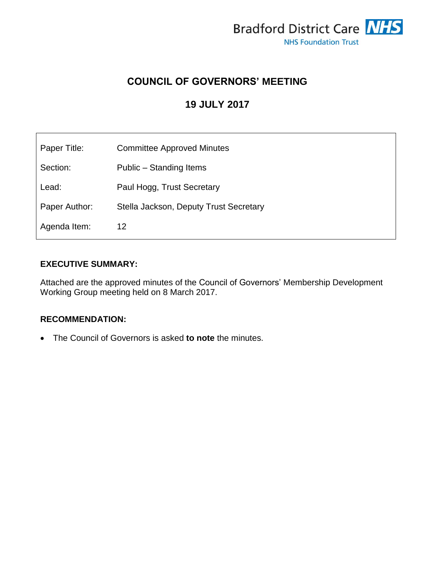

# **COUNCIL OF GOVERNORS' MEETING**

# **19 JULY 2017**

| Paper Title:  | <b>Committee Approved Minutes</b>      |
|---------------|----------------------------------------|
| Section:      | Public – Standing Items                |
| Lead:         | Paul Hogg, Trust Secretary             |
| Paper Author: | Stella Jackson, Deputy Trust Secretary |
| Agenda Item:  | 12                                     |

### **EXECUTIVE SUMMARY:**

Attached are the approved minutes of the Council of Governors' Membership Development Working Group meeting held on 8 March 2017.

### **RECOMMENDATION:**

The Council of Governors is asked **to note** the minutes.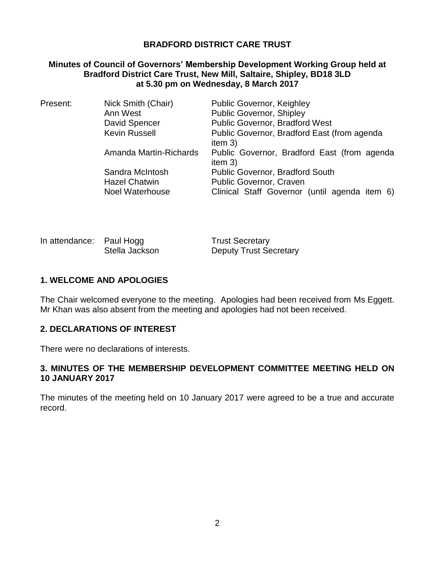### **BRADFORD DISTRICT CARE TRUST**

### **Minutes of Council of Governors' Membership Development Working Group held at Bradford District Care Trust, New Mill, Saltaire, Shipley, BD18 3LD at 5.30 pm on Wednesday, 8 March 2017**

| Present: | Nick Smith (Chair)     | <b>Public Governor, Keighley</b>                         |
|----------|------------------------|----------------------------------------------------------|
|          | Ann West               | <b>Public Governor, Shipley</b>                          |
|          | David Spencer          | <b>Public Governor, Bradford West</b>                    |
|          | <b>Kevin Russell</b>   | Public Governor, Bradford East (from agenda              |
|          |                        | item $3)$                                                |
|          | Amanda Martin-Richards | Public Governor, Bradford East (from agenda<br>item $3)$ |
|          | Sandra McIntosh        | Public Governor, Bradford South                          |
|          | <b>Hazel Chatwin</b>   | Public Governor, Craven                                  |
|          | <b>Noel Waterhouse</b> | Clinical Staff Governor (until agenda item 6)            |
|          |                        |                                                          |

| In attendance: Paul Hogg |                | <b>Trust Secretary</b>        |
|--------------------------|----------------|-------------------------------|
|                          | Stella Jackson | <b>Deputy Trust Secretary</b> |

#### **1. WELCOME AND APOLOGIES**

The Chair welcomed everyone to the meeting. Apologies had been received from Ms Eggett. Mr Khan was also absent from the meeting and apologies had not been received.

#### **2. DECLARATIONS OF INTEREST**

There were no declarations of interests.

### **3. MINUTES OF THE MEMBERSHIP DEVELOPMENT COMMITTEE MEETING HELD ON 10 JANUARY 2017**

The minutes of the meeting held on 10 January 2017 were agreed to be a true and accurate record.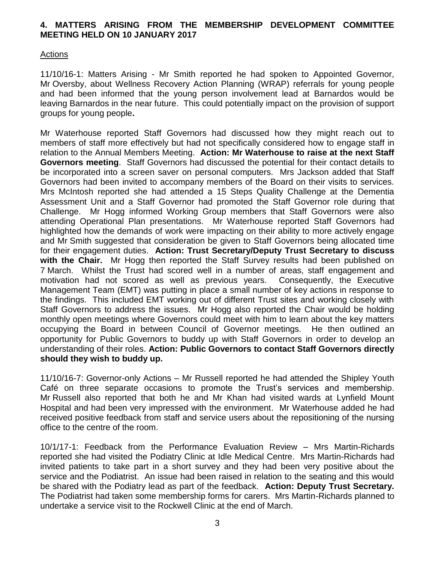### **4. MATTERS ARISING FROM THE MEMBERSHIP DEVELOPMENT COMMITTEE MEETING HELD ON 10 JANUARY 2017**

#### **Actions**

11/10/16-1: Matters Arising - Mr Smith reported he had spoken to Appointed Governor, Mr Oversby, about Wellness Recovery Action Planning (WRAP) referrals for young people and had been informed that the young person involvement lead at Barnardos would be leaving Barnardos in the near future. This could potentially impact on the provision of support groups for young people**.** 

Mr Waterhouse reported Staff Governors had discussed how they might reach out to members of staff more effectively but had not specifically considered how to engage staff in relation to the Annual Members Meeting. **Action: Mr Waterhouse to raise at the next Staff Governors meeting**. Staff Governors had discussed the potential for their contact details to be incorporated into a screen saver on personal computers. Mrs Jackson added that Staff Governors had been invited to accompany members of the Board on their visits to services. Mrs McIntosh reported she had attended a 15 Steps Quality Challenge at the Dementia Assessment Unit and a Staff Governor had promoted the Staff Governor role during that Challenge. Mr Hogg informed Working Group members that Staff Governors were also attending Operational Plan presentations. Mr Waterhouse reported Staff Governors had highlighted how the demands of work were impacting on their ability to more actively engage and Mr Smith suggested that consideration be given to Staff Governors being allocated time for their engagement duties. **Action: Trust Secretary/Deputy Trust Secretary to discuss with the Chair.** Mr Hogg then reported the Staff Survey results had been published on 7 March. Whilst the Trust had scored well in a number of areas, staff engagement and motivation had not scored as well as previous years. Consequently, the Executive Management Team (EMT) was putting in place a small number of key actions in response to the findings. This included EMT working out of different Trust sites and working closely with Staff Governors to address the issues. Mr Hogg also reported the Chair would be holding monthly open meetings where Governors could meet with him to learn about the key matters occupying the Board in between Council of Governor meetings. He then outlined an opportunity for Public Governors to buddy up with Staff Governors in order to develop an understanding of their roles. **Action: Public Governors to contact Staff Governors directly should they wish to buddy up.**

11/10/16-7: Governor-only Actions – Mr Russell reported he had attended the Shipley Youth Café on three separate occasions to promote the Trust's services and membership. Mr Russell also reported that both he and Mr Khan had visited wards at Lynfield Mount Hospital and had been very impressed with the environment. Mr Waterhouse added he had received positive feedback from staff and service users about the repositioning of the nursing office to the centre of the room.

10/1/17-1: Feedback from the Performance Evaluation Review – Mrs Martin-Richards reported she had visited the Podiatry Clinic at Idle Medical Centre. Mrs Martin-Richards had invited patients to take part in a short survey and they had been very positive about the service and the Podiatrist. An issue had been raised in relation to the seating and this would be shared with the Podiatry lead as part of the feedback. **Action: Deputy Trust Secretary.**  The Podiatrist had taken some membership forms for carers. Mrs Martin-Richards planned to undertake a service visit to the Rockwell Clinic at the end of March.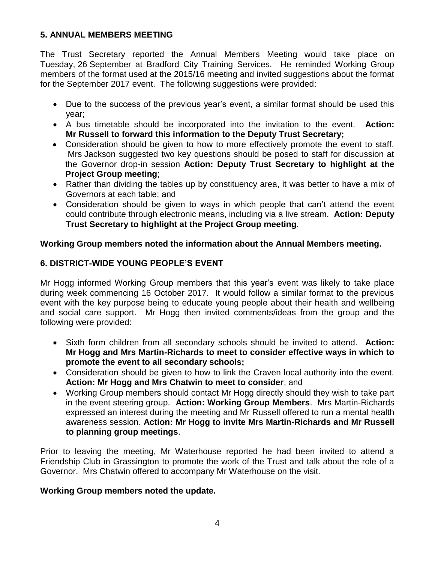### **5. ANNUAL MEMBERS MEETING**

The Trust Secretary reported the Annual Members Meeting would take place on Tuesday, 26 September at Bradford City Training Services. He reminded Working Group members of the format used at the 2015/16 meeting and invited suggestions about the format for the September 2017 event. The following suggestions were provided:

- Due to the success of the previous year's event, a similar format should be used this year;
- A bus timetable should be incorporated into the invitation to the event. **Action: Mr Russell to forward this information to the Deputy Trust Secretary;**
- Consideration should be given to how to more effectively promote the event to staff. Mrs Jackson suggested two key questions should be posed to staff for discussion at the Governor drop-in session **Action: Deputy Trust Secretary to highlight at the Project Group meeting**;
- Rather than dividing the tables up by constituency area, it was better to have a mix of Governors at each table; and
- Consideration should be given to ways in which people that can't attend the event could contribute through electronic means, including via a live stream. **Action: Deputy Trust Secretary to highlight at the Project Group meeting**.

### **Working Group members noted the information about the Annual Members meeting.**

## **6. DISTRICT-WIDE YOUNG PEOPLE'S EVENT**

Mr Hogg informed Working Group members that this year's event was likely to take place during week commencing 16 October 2017. It would follow a similar format to the previous event with the key purpose being to educate young people about their health and wellbeing and social care support. Mr Hogg then invited comments/ideas from the group and the following were provided:

- Sixth form children from all secondary schools should be invited to attend. **Action: Mr Hogg and Mrs Martin-Richards to meet to consider effective ways in which to promote the event to all secondary schools;**
- Consideration should be given to how to link the Craven local authority into the event. **Action: Mr Hogg and Mrs Chatwin to meet to consider**; and
- Working Group members should contact Mr Hogg directly should they wish to take part in the event steering group. **Action: Working Group Members**. Mrs Martin-Richards expressed an interest during the meeting and Mr Russell offered to run a mental health awareness session. **Action: Mr Hogg to invite Mrs Martin-Richards and Mr Russell to planning group meetings**.

Prior to leaving the meeting, Mr Waterhouse reported he had been invited to attend a Friendship Club in Grassington to promote the work of the Trust and talk about the role of a Governor. Mrs Chatwin offered to accompany Mr Waterhouse on the visit.

### **Working Group members noted the update.**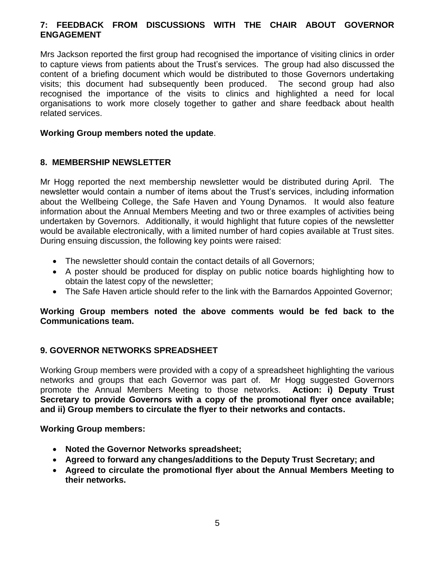### **7: FEEDBACK FROM DISCUSSIONS WITH THE CHAIR ABOUT GOVERNOR ENGAGEMENT**

Mrs Jackson reported the first group had recognised the importance of visiting clinics in order to capture views from patients about the Trust's services. The group had also discussed the content of a briefing document which would be distributed to those Governors undertaking visits; this document had subsequently been produced. The second group had also recognised the importance of the visits to clinics and highlighted a need for local organisations to work more closely together to gather and share feedback about health related services.

#### **Working Group members noted the update**.

### **8. MEMBERSHIP NEWSLETTER**

Mr Hogg reported the next membership newsletter would be distributed during April. The newsletter would contain a number of items about the Trust's services, including information about the Wellbeing College, the Safe Haven and Young Dynamos. It would also feature information about the Annual Members Meeting and two or three examples of activities being undertaken by Governors. Additionally, it would highlight that future copies of the newsletter would be available electronically, with a limited number of hard copies available at Trust sites. During ensuing discussion, the following key points were raised:

- The newsletter should contain the contact details of all Governors:
- A poster should be produced for display on public notice boards highlighting how to obtain the latest copy of the newsletter;
- The Safe Haven article should refer to the link with the Barnardos Appointed Governor;

### **Working Group members noted the above comments would be fed back to the Communications team.**

### **9. GOVERNOR NETWORKS SPREADSHEET**

Working Group members were provided with a copy of a spreadsheet highlighting the various networks and groups that each Governor was part of. Mr Hogg suggested Governors promote the Annual Members Meeting to those networks. **Action: i) Deputy Trust Secretary to provide Governors with a copy of the promotional flyer once available; and ii) Group members to circulate the flyer to their networks and contacts.**

#### **Working Group members:**

- **Noted the Governor Networks spreadsheet;**
- **Agreed to forward any changes/additions to the Deputy Trust Secretary; and**
- **Agreed to circulate the promotional flyer about the Annual Members Meeting to their networks.**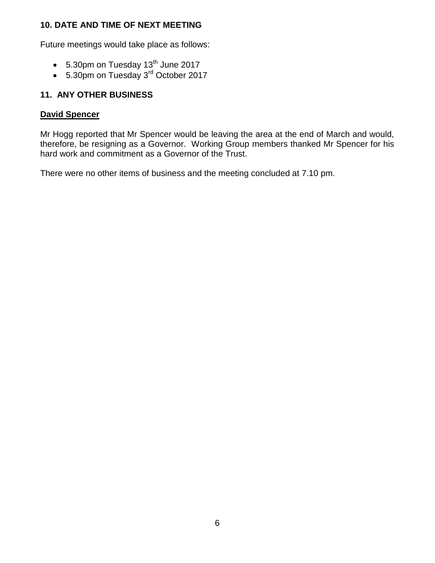### **10. DATE AND TIME OF NEXT MEETING**

Future meetings would take place as follows:

- $\bullet$  5.30pm on Tuesday 13<sup>th</sup> June 2017
- 5.30pm on Tuesday 3<sup>rd</sup> October 2017

## **11. ANY OTHER BUSINESS**

### **David Spencer**

Mr Hogg reported that Mr Spencer would be leaving the area at the end of March and would, therefore, be resigning as a Governor. Working Group members thanked Mr Spencer for his hard work and commitment as a Governor of the Trust.

There were no other items of business and the meeting concluded at 7.10 pm.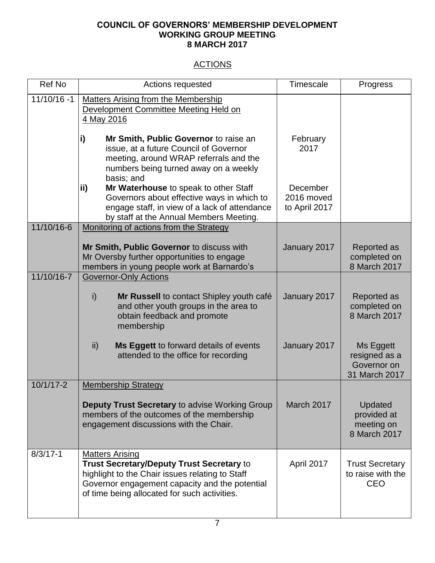#### **COUNCIL OF GOVERNORS' MEMBERSHIP DEVELOPMENT WORKING GROUP MEETING 8 MARCH 2017**

# **ACTIONS**

| <b>Ref No</b>  | Actions requested                                                                                                                                                                                                        | <b>Timescale</b>                        | Progress                                                   |
|----------------|--------------------------------------------------------------------------------------------------------------------------------------------------------------------------------------------------------------------------|-----------------------------------------|------------------------------------------------------------|
| $11/10/16 - 1$ | <b>Matters Arising from the Membership</b><br>Development Committee Meeting Held on<br>4 May 2016                                                                                                                        |                                         |                                                            |
|                | $\vert$ i)<br>Mr Smith, Public Governor to raise an<br>issue, at a future Council of Governor<br>meeting, around WRAP referrals and the<br>numbers being turned away on a weekly                                         | February<br>2017                        |                                                            |
|                | basis; and<br>ii)<br>Mr Waterhouse to speak to other Staff<br>Governors about effective ways in which to<br>engage staff, in view of a lack of attendance<br>by staff at the Annual Members Meeting.                     | December<br>2016 moved<br>to April 2017 |                                                            |
| 11/10/16-6     | Monitoring of actions from the Strategy                                                                                                                                                                                  |                                         |                                                            |
|                | Mr Smith, Public Governor to discuss with<br>Mr Oversby further opportunities to engage<br>members in young people work at Barnardo's                                                                                    | January 2017                            | Reported as<br>completed on<br>8 March 2017                |
| 11/10/16-7     | <b>Governor-Only Actions</b>                                                                                                                                                                                             |                                         |                                                            |
|                | i)<br>Mr Russell to contact Shipley youth café<br>and other youth groups in the area to<br>obtain feedback and promote<br>membership                                                                                     | January 2017                            | Reported as<br>completed on<br>8 March 2017                |
|                | ii)<br>Ms Eggett to forward details of events<br>attended to the office for recording                                                                                                                                    | January 2017                            | Ms Eggett<br>resigned as a<br>Governor on<br>31 March 2017 |
| $10/1/17 - 2$  | <b>Membership Strategy</b>                                                                                                                                                                                               |                                         |                                                            |
|                | <b>Deputy Trust Secretary to advise Working Group</b><br>members of the outcomes of the membership<br>engagement discussions with the Chair.                                                                             | March 2017                              | Updated<br>provided at<br>meeting on<br>8 March 2017       |
| $8/3/17 - 1$   | <b>Matters Arising</b><br>Trust Secretary/Deputy Trust Secretary to<br>highlight to the Chair issues relating to Staff<br>Governor engagement capacity and the potential<br>of time being allocated for such activities. | April 2017                              | <b>Trust Secretary</b><br>to raise with the<br><b>CEO</b>  |